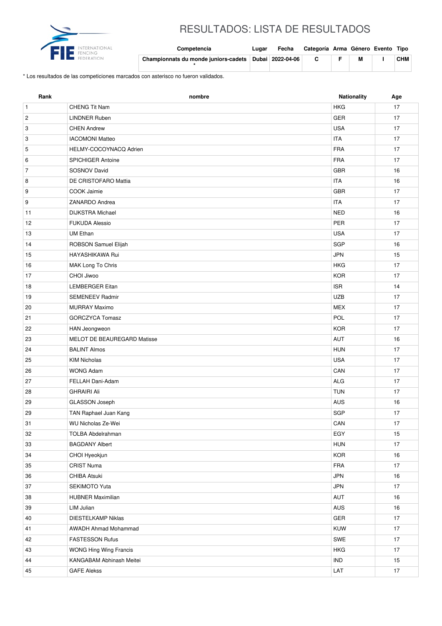

## RESULTADOS: LISTA DE RESULTADOS

| <b>FI</b><br>INTERNATIONAL<br>FENCING | Competencia                                           | Lugar | Fecha | Categoría Arma Género Evento Tipo |  |            |
|---------------------------------------|-------------------------------------------------------|-------|-------|-----------------------------------|--|------------|
|                                       | Championnats du monde juniors-cadets Dubai 2022-04-06 |       |       |                                   |  | <b>CHM</b> |

\* Los resultados de las competiciones marcados con asterisco no fueron validados.

| <b>HKG</b><br>CHENG Tit Nam<br>17<br>$\mathbf{1}$<br>GER<br>$\overline{\mathbf{c}}$<br><b>LINDNER Ruben</b><br>17<br>3<br><b>CHEN Andrew</b><br><b>USA</b><br>17<br>3<br><b>IACOMONI Matteo</b><br><b>ITA</b><br>17<br>HELMY-COCOYNACQ Adrien<br><b>FRA</b><br>17<br>5<br><b>FRA</b><br>6<br>17<br><b>SPICHIGER Antoine</b><br>$\overline{7}$<br>SOSNOV David<br><b>GBR</b><br>16<br>DE CRISTOFARO Mattia<br><b>ITA</b><br>16<br>8<br>9<br>COOK Jaimie<br><b>GBR</b><br>17<br>9<br>ZANARDO Andrea<br><b>ITA</b><br>17<br><b>NED</b><br><b>DIJKSTRA Michael</b><br>16<br>11<br><b>FUKUDA Alessio</b><br><b>PER</b><br>17<br>12<br><b>USA</b><br><b>UM Ethan</b><br>17<br>13<br><b>SGP</b><br>ROBSON Samuel Elijah<br>16<br>14<br>HAYASHIKAWA Rui<br><b>JPN</b><br>15<br>15<br>MAK Long To Chris<br><b>HKG</b><br>17<br>16<br><b>KOR</b><br>CHOI Jiwoo<br>17<br>17<br><b>ISR</b><br>14<br>18<br><b>LEMBERGER Eitan</b><br><b>UZB</b><br><b>SEMENEEV Radmir</b><br>17<br>19<br><b>MEX</b><br>17<br><b>MURRAY Maximo</b><br>20<br>21<br><b>GORCZYCA Tomasz</b><br>POL<br>17<br><b>KOR</b><br>HAN Jeongweon<br>17<br>22<br>MELOT DE BEAUREGARD Matisse<br>AUT<br>16<br>23<br><b>BALINT Almos</b><br><b>HUN</b><br>17<br>24<br><b>USA</b><br>17<br>25<br><b>KIM Nicholas</b><br>CAN<br>26<br><b>WONG Adam</b><br>17<br>FELLAH Dani-Adam<br><b>ALG</b><br>27<br>17<br><b>TUN</b><br><b>GHRAIRI Ali</b><br>28<br>17<br>GLASSON Joseph<br>AUS<br>29<br>16<br><b>SGP</b><br>29<br>TAN Raphael Juan Kang<br>17<br>$\mathsf{CAN}\xspace$<br>31<br>WU Nicholas Ze-Wei<br>$17\,$<br>EGY<br>32<br><b>TOLBA Abdelrahman</b><br>15<br><b>BAGDANY Albert</b><br><b>HUN</b><br>17<br>33<br><b>KOR</b><br>16<br>34<br>CHOI Hyeokjun<br><b>FRA</b><br><b>CRIST Numa</b><br>35<br>17<br>CHIBA Atsuki<br><b>JPN</b><br>36<br>16<br>37<br>SEKIMOTO Yuta<br><b>JPN</b><br>17<br><b>HUBNER Maximilian</b><br>AUT<br>38<br>16<br>LIM Julian<br>AUS<br>16<br>39<br><b>DIESTELKAMP Niklas</b><br>GER<br>40<br>17<br>KUW<br><b>AWADH Ahmad Mohammad</b><br>17<br>41<br>FASTESSON Rufus<br>SWE<br>17<br>42<br>WONG Hing Wing Francis<br>HKG<br>17<br>43 | Rank | nombre                   | Nationality | Age |
|--------------------------------------------------------------------------------------------------------------------------------------------------------------------------------------------------------------------------------------------------------------------------------------------------------------------------------------------------------------------------------------------------------------------------------------------------------------------------------------------------------------------------------------------------------------------------------------------------------------------------------------------------------------------------------------------------------------------------------------------------------------------------------------------------------------------------------------------------------------------------------------------------------------------------------------------------------------------------------------------------------------------------------------------------------------------------------------------------------------------------------------------------------------------------------------------------------------------------------------------------------------------------------------------------------------------------------------------------------------------------------------------------------------------------------------------------------------------------------------------------------------------------------------------------------------------------------------------------------------------------------------------------------------------------------------------------------------------------------------------------------------------------------------------------------------------------------------------------------------------------------------------------------------------------------------------------------------------------------------------------------------------------------------------------------------------------------------------------------------------------|------|--------------------------|-------------|-----|
|                                                                                                                                                                                                                                                                                                                                                                                                                                                                                                                                                                                                                                                                                                                                                                                                                                                                                                                                                                                                                                                                                                                                                                                                                                                                                                                                                                                                                                                                                                                                                                                                                                                                                                                                                                                                                                                                                                                                                                                                                                                                                                                          |      |                          |             |     |
|                                                                                                                                                                                                                                                                                                                                                                                                                                                                                                                                                                                                                                                                                                                                                                                                                                                                                                                                                                                                                                                                                                                                                                                                                                                                                                                                                                                                                                                                                                                                                                                                                                                                                                                                                                                                                                                                                                                                                                                                                                                                                                                          |      |                          |             |     |
|                                                                                                                                                                                                                                                                                                                                                                                                                                                                                                                                                                                                                                                                                                                                                                                                                                                                                                                                                                                                                                                                                                                                                                                                                                                                                                                                                                                                                                                                                                                                                                                                                                                                                                                                                                                                                                                                                                                                                                                                                                                                                                                          |      |                          |             |     |
|                                                                                                                                                                                                                                                                                                                                                                                                                                                                                                                                                                                                                                                                                                                                                                                                                                                                                                                                                                                                                                                                                                                                                                                                                                                                                                                                                                                                                                                                                                                                                                                                                                                                                                                                                                                                                                                                                                                                                                                                                                                                                                                          |      |                          |             |     |
|                                                                                                                                                                                                                                                                                                                                                                                                                                                                                                                                                                                                                                                                                                                                                                                                                                                                                                                                                                                                                                                                                                                                                                                                                                                                                                                                                                                                                                                                                                                                                                                                                                                                                                                                                                                                                                                                                                                                                                                                                                                                                                                          |      |                          |             |     |
|                                                                                                                                                                                                                                                                                                                                                                                                                                                                                                                                                                                                                                                                                                                                                                                                                                                                                                                                                                                                                                                                                                                                                                                                                                                                                                                                                                                                                                                                                                                                                                                                                                                                                                                                                                                                                                                                                                                                                                                                                                                                                                                          |      |                          |             |     |
|                                                                                                                                                                                                                                                                                                                                                                                                                                                                                                                                                                                                                                                                                                                                                                                                                                                                                                                                                                                                                                                                                                                                                                                                                                                                                                                                                                                                                                                                                                                                                                                                                                                                                                                                                                                                                                                                                                                                                                                                                                                                                                                          |      |                          |             |     |
|                                                                                                                                                                                                                                                                                                                                                                                                                                                                                                                                                                                                                                                                                                                                                                                                                                                                                                                                                                                                                                                                                                                                                                                                                                                                                                                                                                                                                                                                                                                                                                                                                                                                                                                                                                                                                                                                                                                                                                                                                                                                                                                          |      |                          |             |     |
|                                                                                                                                                                                                                                                                                                                                                                                                                                                                                                                                                                                                                                                                                                                                                                                                                                                                                                                                                                                                                                                                                                                                                                                                                                                                                                                                                                                                                                                                                                                                                                                                                                                                                                                                                                                                                                                                                                                                                                                                                                                                                                                          |      |                          |             |     |
|                                                                                                                                                                                                                                                                                                                                                                                                                                                                                                                                                                                                                                                                                                                                                                                                                                                                                                                                                                                                                                                                                                                                                                                                                                                                                                                                                                                                                                                                                                                                                                                                                                                                                                                                                                                                                                                                                                                                                                                                                                                                                                                          |      |                          |             |     |
|                                                                                                                                                                                                                                                                                                                                                                                                                                                                                                                                                                                                                                                                                                                                                                                                                                                                                                                                                                                                                                                                                                                                                                                                                                                                                                                                                                                                                                                                                                                                                                                                                                                                                                                                                                                                                                                                                                                                                                                                                                                                                                                          |      |                          |             |     |
|                                                                                                                                                                                                                                                                                                                                                                                                                                                                                                                                                                                                                                                                                                                                                                                                                                                                                                                                                                                                                                                                                                                                                                                                                                                                                                                                                                                                                                                                                                                                                                                                                                                                                                                                                                                                                                                                                                                                                                                                                                                                                                                          |      |                          |             |     |
|                                                                                                                                                                                                                                                                                                                                                                                                                                                                                                                                                                                                                                                                                                                                                                                                                                                                                                                                                                                                                                                                                                                                                                                                                                                                                                                                                                                                                                                                                                                                                                                                                                                                                                                                                                                                                                                                                                                                                                                                                                                                                                                          |      |                          |             |     |
|                                                                                                                                                                                                                                                                                                                                                                                                                                                                                                                                                                                                                                                                                                                                                                                                                                                                                                                                                                                                                                                                                                                                                                                                                                                                                                                                                                                                                                                                                                                                                                                                                                                                                                                                                                                                                                                                                                                                                                                                                                                                                                                          |      |                          |             |     |
|                                                                                                                                                                                                                                                                                                                                                                                                                                                                                                                                                                                                                                                                                                                                                                                                                                                                                                                                                                                                                                                                                                                                                                                                                                                                                                                                                                                                                                                                                                                                                                                                                                                                                                                                                                                                                                                                                                                                                                                                                                                                                                                          |      |                          |             |     |
|                                                                                                                                                                                                                                                                                                                                                                                                                                                                                                                                                                                                                                                                                                                                                                                                                                                                                                                                                                                                                                                                                                                                                                                                                                                                                                                                                                                                                                                                                                                                                                                                                                                                                                                                                                                                                                                                                                                                                                                                                                                                                                                          |      |                          |             |     |
|                                                                                                                                                                                                                                                                                                                                                                                                                                                                                                                                                                                                                                                                                                                                                                                                                                                                                                                                                                                                                                                                                                                                                                                                                                                                                                                                                                                                                                                                                                                                                                                                                                                                                                                                                                                                                                                                                                                                                                                                                                                                                                                          |      |                          |             |     |
|                                                                                                                                                                                                                                                                                                                                                                                                                                                                                                                                                                                                                                                                                                                                                                                                                                                                                                                                                                                                                                                                                                                                                                                                                                                                                                                                                                                                                                                                                                                                                                                                                                                                                                                                                                                                                                                                                                                                                                                                                                                                                                                          |      |                          |             |     |
|                                                                                                                                                                                                                                                                                                                                                                                                                                                                                                                                                                                                                                                                                                                                                                                                                                                                                                                                                                                                                                                                                                                                                                                                                                                                                                                                                                                                                                                                                                                                                                                                                                                                                                                                                                                                                                                                                                                                                                                                                                                                                                                          |      |                          |             |     |
|                                                                                                                                                                                                                                                                                                                                                                                                                                                                                                                                                                                                                                                                                                                                                                                                                                                                                                                                                                                                                                                                                                                                                                                                                                                                                                                                                                                                                                                                                                                                                                                                                                                                                                                                                                                                                                                                                                                                                                                                                                                                                                                          |      |                          |             |     |
|                                                                                                                                                                                                                                                                                                                                                                                                                                                                                                                                                                                                                                                                                                                                                                                                                                                                                                                                                                                                                                                                                                                                                                                                                                                                                                                                                                                                                                                                                                                                                                                                                                                                                                                                                                                                                                                                                                                                                                                                                                                                                                                          |      |                          |             |     |
|                                                                                                                                                                                                                                                                                                                                                                                                                                                                                                                                                                                                                                                                                                                                                                                                                                                                                                                                                                                                                                                                                                                                                                                                                                                                                                                                                                                                                                                                                                                                                                                                                                                                                                                                                                                                                                                                                                                                                                                                                                                                                                                          |      |                          |             |     |
|                                                                                                                                                                                                                                                                                                                                                                                                                                                                                                                                                                                                                                                                                                                                                                                                                                                                                                                                                                                                                                                                                                                                                                                                                                                                                                                                                                                                                                                                                                                                                                                                                                                                                                                                                                                                                                                                                                                                                                                                                                                                                                                          |      |                          |             |     |
|                                                                                                                                                                                                                                                                                                                                                                                                                                                                                                                                                                                                                                                                                                                                                                                                                                                                                                                                                                                                                                                                                                                                                                                                                                                                                                                                                                                                                                                                                                                                                                                                                                                                                                                                                                                                                                                                                                                                                                                                                                                                                                                          |      |                          |             |     |
|                                                                                                                                                                                                                                                                                                                                                                                                                                                                                                                                                                                                                                                                                                                                                                                                                                                                                                                                                                                                                                                                                                                                                                                                                                                                                                                                                                                                                                                                                                                                                                                                                                                                                                                                                                                                                                                                                                                                                                                                                                                                                                                          |      |                          |             |     |
|                                                                                                                                                                                                                                                                                                                                                                                                                                                                                                                                                                                                                                                                                                                                                                                                                                                                                                                                                                                                                                                                                                                                                                                                                                                                                                                                                                                                                                                                                                                                                                                                                                                                                                                                                                                                                                                                                                                                                                                                                                                                                                                          |      |                          |             |     |
|                                                                                                                                                                                                                                                                                                                                                                                                                                                                                                                                                                                                                                                                                                                                                                                                                                                                                                                                                                                                                                                                                                                                                                                                                                                                                                                                                                                                                                                                                                                                                                                                                                                                                                                                                                                                                                                                                                                                                                                                                                                                                                                          |      |                          |             |     |
|                                                                                                                                                                                                                                                                                                                                                                                                                                                                                                                                                                                                                                                                                                                                                                                                                                                                                                                                                                                                                                                                                                                                                                                                                                                                                                                                                                                                                                                                                                                                                                                                                                                                                                                                                                                                                                                                                                                                                                                                                                                                                                                          |      |                          |             |     |
|                                                                                                                                                                                                                                                                                                                                                                                                                                                                                                                                                                                                                                                                                                                                                                                                                                                                                                                                                                                                                                                                                                                                                                                                                                                                                                                                                                                                                                                                                                                                                                                                                                                                                                                                                                                                                                                                                                                                                                                                                                                                                                                          |      |                          |             |     |
|                                                                                                                                                                                                                                                                                                                                                                                                                                                                                                                                                                                                                                                                                                                                                                                                                                                                                                                                                                                                                                                                                                                                                                                                                                                                                                                                                                                                                                                                                                                                                                                                                                                                                                                                                                                                                                                                                                                                                                                                                                                                                                                          |      |                          |             |     |
|                                                                                                                                                                                                                                                                                                                                                                                                                                                                                                                                                                                                                                                                                                                                                                                                                                                                                                                                                                                                                                                                                                                                                                                                                                                                                                                                                                                                                                                                                                                                                                                                                                                                                                                                                                                                                                                                                                                                                                                                                                                                                                                          |      |                          |             |     |
|                                                                                                                                                                                                                                                                                                                                                                                                                                                                                                                                                                                                                                                                                                                                                                                                                                                                                                                                                                                                                                                                                                                                                                                                                                                                                                                                                                                                                                                                                                                                                                                                                                                                                                                                                                                                                                                                                                                                                                                                                                                                                                                          |      |                          |             |     |
|                                                                                                                                                                                                                                                                                                                                                                                                                                                                                                                                                                                                                                                                                                                                                                                                                                                                                                                                                                                                                                                                                                                                                                                                                                                                                                                                                                                                                                                                                                                                                                                                                                                                                                                                                                                                                                                                                                                                                                                                                                                                                                                          |      |                          |             |     |
|                                                                                                                                                                                                                                                                                                                                                                                                                                                                                                                                                                                                                                                                                                                                                                                                                                                                                                                                                                                                                                                                                                                                                                                                                                                                                                                                                                                                                                                                                                                                                                                                                                                                                                                                                                                                                                                                                                                                                                                                                                                                                                                          |      |                          |             |     |
|                                                                                                                                                                                                                                                                                                                                                                                                                                                                                                                                                                                                                                                                                                                                                                                                                                                                                                                                                                                                                                                                                                                                                                                                                                                                                                                                                                                                                                                                                                                                                                                                                                                                                                                                                                                                                                                                                                                                                                                                                                                                                                                          |      |                          |             |     |
|                                                                                                                                                                                                                                                                                                                                                                                                                                                                                                                                                                                                                                                                                                                                                                                                                                                                                                                                                                                                                                                                                                                                                                                                                                                                                                                                                                                                                                                                                                                                                                                                                                                                                                                                                                                                                                                                                                                                                                                                                                                                                                                          |      |                          |             |     |
|                                                                                                                                                                                                                                                                                                                                                                                                                                                                                                                                                                                                                                                                                                                                                                                                                                                                                                                                                                                                                                                                                                                                                                                                                                                                                                                                                                                                                                                                                                                                                                                                                                                                                                                                                                                                                                                                                                                                                                                                                                                                                                                          |      |                          |             |     |
|                                                                                                                                                                                                                                                                                                                                                                                                                                                                                                                                                                                                                                                                                                                                                                                                                                                                                                                                                                                                                                                                                                                                                                                                                                                                                                                                                                                                                                                                                                                                                                                                                                                                                                                                                                                                                                                                                                                                                                                                                                                                                                                          |      |                          |             |     |
|                                                                                                                                                                                                                                                                                                                                                                                                                                                                                                                                                                                                                                                                                                                                                                                                                                                                                                                                                                                                                                                                                                                                                                                                                                                                                                                                                                                                                                                                                                                                                                                                                                                                                                                                                                                                                                                                                                                                                                                                                                                                                                                          |      |                          |             |     |
|                                                                                                                                                                                                                                                                                                                                                                                                                                                                                                                                                                                                                                                                                                                                                                                                                                                                                                                                                                                                                                                                                                                                                                                                                                                                                                                                                                                                                                                                                                                                                                                                                                                                                                                                                                                                                                                                                                                                                                                                                                                                                                                          |      |                          |             |     |
|                                                                                                                                                                                                                                                                                                                                                                                                                                                                                                                                                                                                                                                                                                                                                                                                                                                                                                                                                                                                                                                                                                                                                                                                                                                                                                                                                                                                                                                                                                                                                                                                                                                                                                                                                                                                                                                                                                                                                                                                                                                                                                                          |      |                          |             |     |
|                                                                                                                                                                                                                                                                                                                                                                                                                                                                                                                                                                                                                                                                                                                                                                                                                                                                                                                                                                                                                                                                                                                                                                                                                                                                                                                                                                                                                                                                                                                                                                                                                                                                                                                                                                                                                                                                                                                                                                                                                                                                                                                          |      |                          |             |     |
|                                                                                                                                                                                                                                                                                                                                                                                                                                                                                                                                                                                                                                                                                                                                                                                                                                                                                                                                                                                                                                                                                                                                                                                                                                                                                                                                                                                                                                                                                                                                                                                                                                                                                                                                                                                                                                                                                                                                                                                                                                                                                                                          |      |                          |             |     |
|                                                                                                                                                                                                                                                                                                                                                                                                                                                                                                                                                                                                                                                                                                                                                                                                                                                                                                                                                                                                                                                                                                                                                                                                                                                                                                                                                                                                                                                                                                                                                                                                                                                                                                                                                                                                                                                                                                                                                                                                                                                                                                                          | 44   | KANGABAM Abhinash Meitei | <b>IND</b>  | 15  |
| <b>GAFE Alekss</b><br>LAT<br>17<br>45                                                                                                                                                                                                                                                                                                                                                                                                                                                                                                                                                                                                                                                                                                                                                                                                                                                                                                                                                                                                                                                                                                                                                                                                                                                                                                                                                                                                                                                                                                                                                                                                                                                                                                                                                                                                                                                                                                                                                                                                                                                                                    |      |                          |             |     |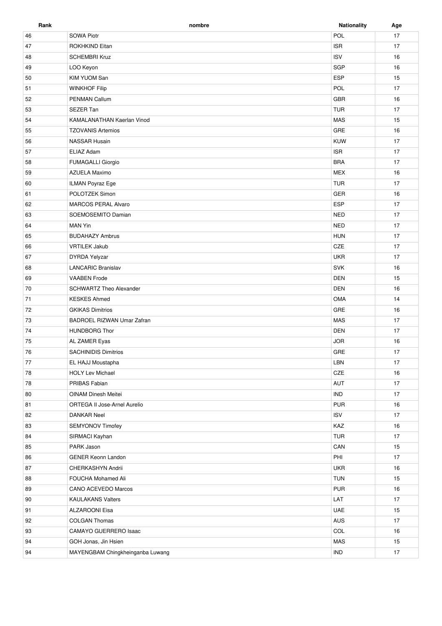| Rank       | nombre                         | <b>Nationality</b> | Age    |
|------------|--------------------------------|--------------------|--------|
| 46         | <b>SOWA Piotr</b>              | POL                | 17     |
| 47         | ROKHKIND Eitan                 | <b>ISR</b>         | 17     |
| 48         | <b>SCHEMBRI Kruz</b>           | <b>ISV</b>         | 16     |
| 49         | LOO Keyon                      | <b>SGP</b>         | 16     |
| 50         | <b>KIM YUOM San</b>            | <b>ESP</b>         | 15     |
| 51         | <b>WINKHOF Filip</b>           | POL                | 17     |
| 52         | PENMAN Callum                  | <b>GBR</b>         | 16     |
| 53         | SEZER Tan                      | <b>TUR</b>         | 17     |
| 54         | KAMALANATHAN Kaerlan Vinod     | <b>MAS</b>         | 15     |
| 55         | <b>TZOVANIS Artemios</b>       | GRE                | 16     |
| 56         | <b>NASSAR Husain</b>           | <b>KUW</b>         | 17     |
| 57         | ELIAZ Adam                     | <b>ISR</b>         | 17     |
| 58         | FUMAGALLI Giorgio              | <b>BRA</b>         | 17     |
| 59         | AZUELA Maximo                  | <b>MEX</b>         | 16     |
| 60         | ILMAN Poyraz Ege               | <b>TUR</b>         | 17     |
| 61         | POLOTZEK Simon                 | <b>GER</b>         | 16     |
| 62         | <b>MARCOS PERAL Alvaro</b>     | <b>ESP</b>         | 17     |
| 63         | SOEMOSEMITO Damian             | <b>NED</b>         | 17     |
| 64         | <b>MAN Yin</b>                 | <b>NED</b>         | 17     |
| 65         | <b>BUDAHAZY Ambrus</b>         | <b>HUN</b>         | 17     |
| 66         | <b>VRTILEK Jakub</b>           | CZE                | 17     |
| 67         | <b>DYRDA Yelyzar</b>           | <b>UKR</b>         | 17     |
| 68         | <b>LANCARIC Branislav</b>      | <b>SVK</b>         | 16     |
| 69         | <b>VAABEN Frode</b>            | <b>DEN</b>         | 15     |
| 70         | <b>SCHWARTZ Theo Alexander</b> | <b>DEN</b>         | 16     |
| 71         | <b>KESKES Ahmed</b>            | OMA                | 14     |
| 72         | <b>GKIKAS Dimitrios</b>        | GRE                | 16     |
| 73         | BADROEL RIZWAN Umar Zafran     | <b>MAS</b>         | 17     |
| 74         | <b>HUNDBORG Thor</b>           | <b>DEN</b>         | 17     |
| 75         | AL ZAMER Eyas                  | <b>JOR</b>         | 16     |
| ${\bf 76}$ | <b>SACHINIDIS Dimitrios</b>    | GRE                | $17\,$ |
| 77         | EL HAJJ Moustapha              | LBN                | 17     |
| 78         | <b>HOLY Lev Michael</b>        | CZE                | 16     |
| 78         | PRIBAS Fabian                  | AUT                | 17     |
| 80         | OINAM Dinesh Meitei            | <b>IND</b>         | 17     |
| 81         | ORTEGA II Jose-Arnel Aurelio   | <b>PUR</b>         | 16     |
| 82         | DANKAR Neel                    | <b>ISV</b>         | 17     |
| 83         | SEMYONOV Timofey               | KAZ                | 16     |
| 84         | SIRMACI Kayhan                 | <b>TUR</b>         | 17     |
| 85         | PARK Jason                     | CAN                | 15     |
| 86         | <b>GENER Keonn Landon</b>      | PHI                | 17     |
| 87         | CHERKASHYN Andrii              | <b>UKR</b>         | 16     |
| 88         | FOUCHA Mohamed Ali             | <b>TUN</b>         | 15     |
| 89         | CANO ACEVEDO Marcos            | <b>PUR</b>         | 16     |
| 90         | <b>KAULAKANS Valters</b>       | LAT                | 17     |
| 91         | <b>ALZAROONI Eisa</b>          | <b>UAE</b>         | 15     |
| 92         | <b>COLGAN Thomas</b>           | AUS                | 17     |
| 93         | CAMAYO GUERRERO Isaac          | COL                | 16     |

er and GOH Jonas, Jin Hsien MAS 15 94 MAYENGBAM Chingkheinganba Luwang 17 MB 17 MB 17